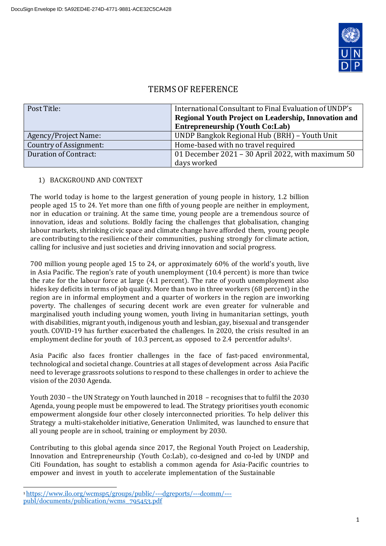

# TERMS OF REFERENCE

| Post Title:            | International Consultant to Final Evaluation of UNDP's |  |
|------------------------|--------------------------------------------------------|--|
|                        | Regional Youth Project on Leadership, Innovation and   |  |
|                        | <b>Entrepreneurship (Youth Co:Lab)</b>                 |  |
| Agency/Project Name:   | UNDP Bangkok Regional Hub (BRH) – Youth Unit           |  |
| Country of Assignment: | Home-based with no travel required                     |  |
| Duration of Contract:  | 01 December 2021 - 30 April 2022, with maximum 50      |  |
|                        | days worked                                            |  |

## 1) BACKGROUND AND CONTEXT

The world today is home to the largest generation of young people in history, 1.2 billion people aged 15 to 24. Yet more than one fifth of young people are neither in employment, nor in education or training. At the same time, young people are a tremendous source of innovation, ideas and solutions. Boldly facing the challenges that globalisation, changing labour markets, shrinking civic space and climate change have afforded them, young people are contributing to the resilience of their communities, pushing strongly for climate action, calling for inclusive and just societies and driving innovation and social progress.

700 million young people aged 15 to 24, or approximately 60% of the world's youth, live in Asia Pacific. The region's rate of youth unemployment (10.4 percent) is more than twice the rate for the labour force at large (4.1 percent). The rate of youth unemployment also hides key deficits in terms of job quality. More than two in three workers (68 percent) in the region are in informal employment and a quarter of workers in the region are inworking poverty. The challenges of securing decent work are even greater for vulnerable and marginalised youth including young women, youth living in humanitarian settings, youth with disabilities, migrant youth, indigenous youth and lesbian, gay, bisexual and transgender youth. COVID-19 has further exacerbated the challenges. In 2020, the crisis resulted in an employment decline for youth of 10.3 percent, as opposed to 2.4 percentfor adults<sup>1</sup>.

Asia Pacific also faces frontier challenges in the face of fast-paced environmental, technological and societal change. Countries at all stages of development across Asia Pacific need to leverage grassroots solutions to respond to these challenges in order to achieve the vision of the 2030 Agenda.

Youth 2030 – the UN Strategy on Youth launched in 2018 – recognises that to fulfil the 2030 Agenda, young people must be empowered to lead. The Strategy prioritises youth economic empowerment alongside four other closely interconnected priorities. To help deliver this Strategy a multi-stakeholder initiative, Generation Unlimited, was launched to ensure that all young people are in school, training or employment by 2030.

Contributing to this global agenda since 2017, the Regional Youth Project on Leadership, Innovation and Entrepreneurship (Youth Co:Lab), co-designed and co-led by UNDP and Citi Foundation, has sought to establish a common agenda for Asia-Pacific countries to empower and invest in youth to accelerate implementation of the Sustainable

<sup>1</sup> [https://www.ilo.org/wcmsp5/groups/public/---dgreports/---dcomm/--](https://www.ilo.org/wcmsp5/groups/public/---dgreports/---dcomm/---publ/documents/publication/wcms_795453.pdf) [publ/documents/publication/wcms\\_795453.pdf](https://www.ilo.org/wcmsp5/groups/public/---dgreports/---dcomm/---publ/documents/publication/wcms_795453.pdf)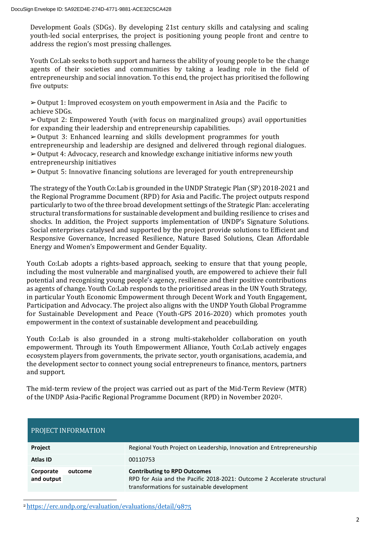Development Goals (SDGs). By developing 21st century skills and catalysing and scaling youth-led social enterprises, the project is positioning young people front and centre to address the region's most pressing challenges.

Youth Co:Lab seeks to both support and harness the ability of young people to be the change agents of their societies and communities by taking a leading role in the field of entrepreneurship and social innovation. To this end, the project has prioritised the following five outputs:

➢Output 1: Improved ecosystem on youth empowerment in Asia and the Pacific to achieve SDGs.

 $\geq 0$ utput 2: Empowered Youth (with focus on marginalized groups) avail opportunities for expanding their leadership and entrepreneurship capabilities.

 $\geq$  Output 3: Enhanced learning and skills development programmes for youth entrepreneurship and leadership are designed and delivered through regional dialogues. ➢Output 4: Advocacy, research and knowledge exchange initiative informs new youth entrepreneurship initiatives

 $\geq 0$ utput 5: Innovative financing solutions are leveraged for youth entrepreneurship

The strategy of the Youth Co:Lab is grounded in the UNDP Strategic Plan (SP) 2018-2021 and the Regional Programme Document (RPD) for Asia and Pacific. The project outputs respond particularly to two of the three broad development settings of the Strategic Plan: accelerating structural transformations for sustainable development and building resilience to crises and shocks. In addition, the Project supports implementation of UNDP's Signature Solutions. Social enterprises catalysed and supported by the project provide solutions to Efficient and Responsive Governance, Increased Resilience, Nature Based Solutions, Clean Affordable Energy and Women's Empowerment and Gender Equality.

Youth Co:Lab adopts a rights-based approach, seeking to ensure that that young people, including the most vulnerable and marginalised youth, are empowered to achieve their full potential and recognising young people's agency, resilience and their positive contributions as agents of change. Youth Co:Lab responds to the prioritised areas in the UN Youth Strategy, in particular Youth Economic Empowerment through Decent Work and Youth Engagement, Participation and Advocacy. The project also aligns with the UNDP Youth Global Programme for Sustainable Development and Peace (Youth-GPS 2016-2020) which promotes youth empowerment in the context of sustainable development and peacebuilding.

Youth Co:Lab is also grounded in a strong multi-stakeholder collaboration on youth empowerment. Through its Youth Empowerment Alliance, Youth Co:Lab actively engages ecosystem players from governments, the private sector, youth organisations, academia, and the development sector to connect young social entrepreneurs to finance, mentors, partners and support.

The mid-term review of the project was carried out as part of the Mid-Term Review (MTR) of the UNDP Asia-Pacific Regional Programme Document (RPD) in November 20202.

| <b>PROJECT INFORMATION</b>         |                                                                                                                                                               |  |
|------------------------------------|---------------------------------------------------------------------------------------------------------------------------------------------------------------|--|
| Project                            | Regional Youth Project on Leadership, Innovation and Entrepreneurship                                                                                         |  |
| Atlas ID                           | 00110753                                                                                                                                                      |  |
| Corporate<br>outcome<br>and output | <b>Contributing to RPD Outcomes</b><br>RPD for Asia and the Pacific 2018-2021: Outcome 2 Accelerate structural<br>transformations for sustainable development |  |

<sup>2</sup> <https://erc.undp.org/evaluation/evaluations/detail/9875>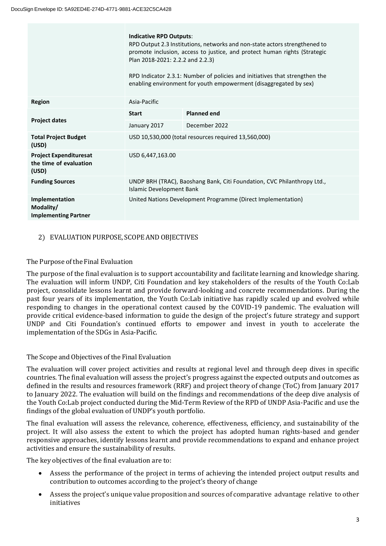|                                                                  | <b>Indicative RPD Outputs:</b><br>RPD Output 2.3 Institutions, networks and non-state actors strengthened to<br>promote inclusion, access to justice, and protect human rights (Strategic<br>Plan 2018-2021: 2.2.2 and 2.2.3)<br>RPD Indicator 2.3.1: Number of policies and initiatives that strengthen the<br>enabling environment for youth empowerment (disaggregated by sex) |                    |  |
|------------------------------------------------------------------|-----------------------------------------------------------------------------------------------------------------------------------------------------------------------------------------------------------------------------------------------------------------------------------------------------------------------------------------------------------------------------------|--------------------|--|
| <b>Region</b>                                                    | Asia-Pacific                                                                                                                                                                                                                                                                                                                                                                      |                    |  |
|                                                                  | <b>Start</b>                                                                                                                                                                                                                                                                                                                                                                      | <b>Planned end</b> |  |
| <b>Project dates</b>                                             | January 2017                                                                                                                                                                                                                                                                                                                                                                      | December 2022      |  |
| <b>Total Project Budget</b><br>(USD)                             | USD 10,530,000 (total resources required 13,560,000)                                                                                                                                                                                                                                                                                                                              |                    |  |
| <b>Project Expendituresat</b><br>the time of evaluation<br>(USD) | USD 6,447,163.00                                                                                                                                                                                                                                                                                                                                                                  |                    |  |
| <b>Funding Sources</b>                                           | UNDP BRH (TRAC), Baoshang Bank, Citi Foundation, CVC Philanthropy Ltd.,<br><b>Islamic Development Bank</b>                                                                                                                                                                                                                                                                        |                    |  |
| Implementation<br>Modality/<br><b>Implementing Partner</b>       | United Nations Development Programme (Direct Implementation)                                                                                                                                                                                                                                                                                                                      |                    |  |

## 2) EVALUATION PURPOSE, SCOPE AND OBJECTIVES

#### The Purpose of the Final Evaluation

The purpose of the final evaluation is to support accountability and facilitate learning and knowledge sharing. The evaluation will inform UNDP, Citi Foundation and key stakeholders of the results of the Youth Co:Lab project, consolidate lessons learnt and provide forward-looking and concrete recommendations. During the past four years of its implementation, the Youth Co:Lab initiative has rapidly scaled up and evolved while responding to changes in the operational context caused by the COVID-19 pandemic. The evaluation will provide critical evidence-based information to guide the design of the project's future strategy and support UNDP and Citi Foundation's continued efforts to empower and invest in youth to accelerate the implementation of the SDGs in Asia-Pacific.

## The Scope and Objectives of the Final Evaluation

The evaluation will cover project activities and results at regional level and through deep dives in specific countries. The final evaluation will assess the project's progress against the expected outputs and outcomes as defined in the results and resources framework (RRF) and project theory of change (ToC) from January 2017 to January 2022. The evaluation will build on the findings and recommendations of the deep dive analysis of the Youth Co:Lab project conducted during the Mid-Term Review of the RPD of UNDP Asia-Pacific and use the findings of the global evaluation of UNDP's youth portfolio.

The final evaluation will assess the relevance, coherence, effectiveness, efficiency, and sustainability of the project. It will also assess the extent to which the project has adopted human rights-based and gender responsive approaches, identify lessons learnt and provide recommendations to expand and enhance project activities and ensure the sustainability of results.

The key objectives of the final evaluation are to:

- Assess the performance of the project in terms of achieving the intended project output results and contribution to outcomes according to the project's theory of change
- Assess the project's unique value proposition and sources of comparative advantage relative to other initiatives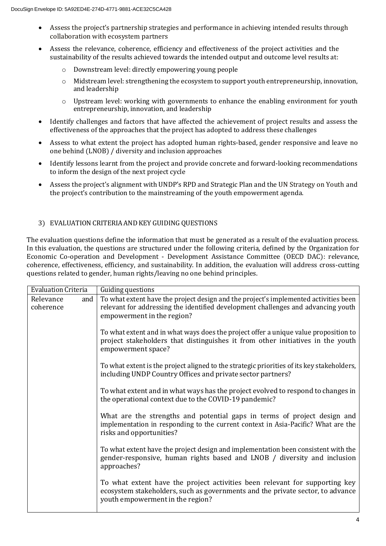- Assess the project's partnership strategies and performance in achieving intended results through collaboration with ecosystem partners
- Assess the relevance, coherence, efficiency and effectiveness of the project activities and the sustainability of the results achieved towards the intended output and outcome level results at:
	- o Downstream level: directly empowering young people
	- o Midstream level: strengthening the ecosystem to support youth entrepreneurship, innovation, and leadership
	- o Upstream level: working with governments to enhance the enabling environment for youth entrepreneurship, innovation, and leadership
- Identify challenges and factors that have affected the achievement of project results and assess the effectiveness of the approaches that the project has adopted to address these challenges
- Assess to what extent the project has adopted human rights-based, gender responsive and leave no one behind (LNOB) / diversity and inclusion approaches
- Identify lessons learnt from the project and provide concrete and forward-looking recommendations to inform the design of the next project cycle
- Assess the project's alignment with UNDP's RPD and Strategic Plan and the UN Strategy on Youth and the project's contribution to the mainstreaming of the youth empowerment agenda.

## 3) EVALUATION CRITERIA AND KEY GUIDING QUESTIONS

The evaluation questions define the information that must be generated as a result of the evaluation process. In this evaluation, the questions are structured under the following criteria, defined by the Organization for Economic Co-operation and Development - Development Assistance Committee (OECD DAC): relevance, coherence, effectiveness, efficiency, and sustainability. In addition, the evaluation will address cross-cutting questions related to gender, human rights/leaving no one behind principles.

| <b>Evaluation Criteria</b>    | Guiding questions                                                                                                                                                                                       |
|-------------------------------|---------------------------------------------------------------------------------------------------------------------------------------------------------------------------------------------------------|
| Relevance<br>and<br>coherence | To what extent have the project design and the project's implemented activities been<br>relevant for addressing the identified development challenges and advancing youth<br>empowerment in the region? |
|                               | To what extent and in what ways does the project offer a unique value proposition to<br>project stakeholders that distinguishes it from other initiatives in the youth<br>empowerment space?            |
|                               | To what extent is the project aligned to the strategic priorities of its key stakeholders,<br>including UNDP Country Offices and private sector partners?                                               |
|                               | To what extent and in what ways has the project evolved to respond to changes in<br>the operational context due to the COVID-19 pandemic?                                                               |
|                               | What are the strengths and potential gaps in terms of project design and<br>implementation in responding to the current context in Asia-Pacific? What are the<br>risks and opportunities?               |
|                               | To what extent have the project design and implementation been consistent with the<br>gender-responsive, human rights based and LNOB / diversity and inclusion<br>approaches?                           |
|                               | To what extent have the project activities been relevant for supporting key<br>ecosystem stakeholders, such as governments and the private sector, to advance<br>youth empowerment in the region?       |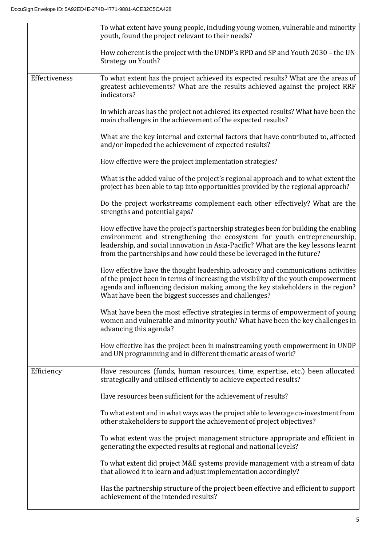|               | To what extent have young people, including young women, vulnerable and minority<br>youth, found the project relevant to their needs?                                                                                                                                                                                            |
|---------------|----------------------------------------------------------------------------------------------------------------------------------------------------------------------------------------------------------------------------------------------------------------------------------------------------------------------------------|
|               | How coherent is the project with the UNDP's RPD and SP and Youth 2030 – the UN<br>Strategy on Youth?                                                                                                                                                                                                                             |
| Effectiveness | To what extent has the project achieved its expected results? What are the areas of<br>greatest achievements? What are the results achieved against the project RRF<br>indicators?                                                                                                                                               |
|               | In which areas has the project not achieved its expected results? What have been the<br>main challenges in the achievement of the expected results?                                                                                                                                                                              |
|               | What are the key internal and external factors that have contributed to, affected<br>and/or impeded the achievement of expected results?                                                                                                                                                                                         |
|               | How effective were the project implementation strategies?                                                                                                                                                                                                                                                                        |
|               | What is the added value of the project's regional approach and to what extent the<br>project has been able to tap into opportunities provided by the regional approach?                                                                                                                                                          |
|               | Do the project workstreams complement each other effectively? What are the<br>strengths and potential gaps?                                                                                                                                                                                                                      |
|               | How effective have the project's partnership strategies been for building the enabling<br>environment and strengthening the ecosystem for youth entrepreneurship,<br>leadership, and social innovation in Asia-Pacific? What are the key lessons learnt<br>from the partnerships and how could these be leveraged in the future? |
|               | How effective have the thought leadership, advocacy and communications activities<br>of the project been in terms of increasing the visibility of the youth empowerment<br>agenda and influencing decision making among the key stakeholders in the region?<br>What have been the biggest successes and challenges?              |
|               | What have been the most effective strategies in terms of empowerment of young<br>women and vulnerable and minority youth? What have been the key challenges in<br>advancing this agenda?                                                                                                                                         |
|               | How effective has the project been in mainstreaming youth empowerment in UNDP<br>and UN programming and in different thematic areas of work?                                                                                                                                                                                     |
| Efficiency    | Have resources (funds, human resources, time, expertise, etc.) been allocated<br>strategically and utilised efficiently to achieve expected results?                                                                                                                                                                             |
|               | Have resources been sufficient for the achievement of results?                                                                                                                                                                                                                                                                   |
|               | To what extent and in what ways was the project able to leverage co-investment from<br>other stakeholders to support the achievement of project objectives?                                                                                                                                                                      |
|               | To what extent was the project management structure appropriate and efficient in<br>generating the expected results at regional and national levels?                                                                                                                                                                             |
|               | To what extent did project M&E systems provide management with a stream of data<br>that allowed it to learn and adjust implementation accordingly?                                                                                                                                                                               |
|               | Has the partnership structure of the project been effective and efficient to support<br>achievement of the intended results?                                                                                                                                                                                                     |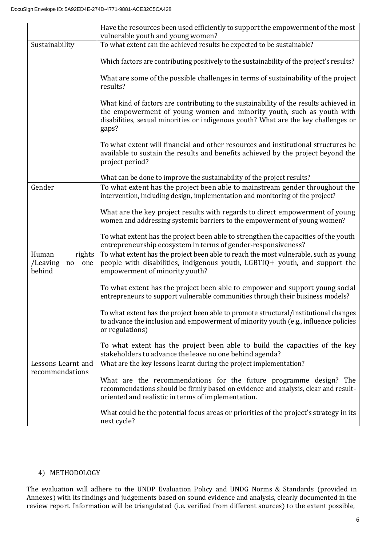|                                                    | Have the resources been used efficiently to support the empowerment of the most<br>vulnerable youth and young women?                                                                                                                                            |
|----------------------------------------------------|-----------------------------------------------------------------------------------------------------------------------------------------------------------------------------------------------------------------------------------------------------------------|
| Sustainability                                     | To what extent can the achieved results be expected to be sustainable?                                                                                                                                                                                          |
|                                                    | Which factors are contributing positively to the sustainability of the project's results?                                                                                                                                                                       |
|                                                    | What are some of the possible challenges in terms of sustainability of the project<br>results?                                                                                                                                                                  |
|                                                    | What kind of factors are contributing to the sustainability of the results achieved in<br>the empowerment of young women and minority youth, such as youth with<br>disabilities, sexual minorities or indigenous youth? What are the key challenges or<br>gaps? |
|                                                    | To what extent will financial and other resources and institutional structures be<br>available to sustain the results and benefits achieved by the project beyond the<br>project period?                                                                        |
|                                                    | What can be done to improve the sustainability of the project results?                                                                                                                                                                                          |
| Gender                                             | To what extent has the project been able to mainstream gender throughout the<br>intervention, including design, implementation and monitoring of the project?                                                                                                   |
|                                                    | What are the key project results with regards to direct empowerment of young<br>women and addressing systemic barriers to the empowerment of young women?                                                                                                       |
|                                                    | To what extent has the project been able to strengthen the capacities of the youth<br>entrepreneurship ecosystem in terms of gender-responsiveness?                                                                                                             |
| Human<br>rights<br>/Leaving<br>one<br>no<br>behind | To what extent has the project been able to reach the most vulnerable, such as young<br>people with disabilities, indigenous youth, LGBTIQ+ youth, and support the<br>empowerment of minority youth?                                                            |
|                                                    | To what extent has the project been able to empower and support young social<br>entrepreneurs to support vulnerable communities through their business models?                                                                                                  |
|                                                    | To what extent has the project been able to promote structural/institutional changes<br>to advance the inclusion and empowerment of minority youth (e.g., influence policies<br>or regulations)                                                                 |
|                                                    | To what extent has the project been able to build the capacities of the key<br>stakeholders to advance the leave no one behind agenda?                                                                                                                          |
| Lessons Learnt and                                 | What are the key lessons learnt during the project implementation?                                                                                                                                                                                              |
| recommendations                                    | What are the recommendations for the future programme design? The<br>recommendations should be firmly based on evidence and analysis, clear and result-<br>oriented and realistic in terms of implementation.                                                   |
|                                                    | What could be the potential focus areas or priorities of the project's strategy in its<br>next cycle?                                                                                                                                                           |

## 4) METHODOLOGY

The evaluation will adhere to the UNDP Evaluation Policy and UNDG Norms & Standards (provided in Annexes) with its findings and judgements based on sound evidence and analysis, clearly documented in the review report. Information will be triangulated (i.e. verified from different sources) to the extent possible,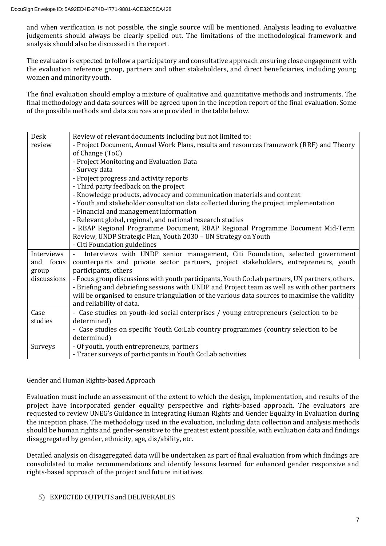and when verification is not possible, the single source will be mentioned. Analysis leading to evaluative judgements should always be clearly spelled out. The limitations of the methodological framework and analysis should also be discussed in the report.

The evaluator is expected to follow a participatory and consultative approach ensuring close engagement with the evaluation reference group, partners and other stakeholders, and direct beneficiaries, including young women and minority youth.

The final evaluation should employ a mixture of qualitative and quantitative methods and instruments. The final methodology and data sources will be agreed upon in the inception report of the final evaluation. Some of the possible methods and data sources are provided in the table below.

| Desk        | Review of relevant documents including but not limited to:                                     |
|-------------|------------------------------------------------------------------------------------------------|
| review      | - Project Document, Annual Work Plans, results and resources framework (RRF) and Theory        |
|             | of Change (ToC)                                                                                |
|             | - Project Monitoring and Evaluation Data                                                       |
|             | - Survey data                                                                                  |
|             | - Project progress and activity reports                                                        |
|             | - Third party feedback on the project                                                          |
|             | - Knowledge products, advocacy and communication materials and content                         |
|             | - Youth and stakeholder consultation data collected during the project implementation          |
|             | - Financial and management information                                                         |
|             | - Relevant global, regional, and national research studies                                     |
|             | - RBAP Regional Programme Document, RBAP Regional Programme Document Mid-Term                  |
|             | Review, UNDP Strategic Plan, Youth 2030 - UN Strategy on Youth                                 |
|             | - Citi Foundation guidelines                                                                   |
| Interviews  | Interviews with UNDP senior management, Citi Foundation, selected government                   |
| and focus   | counterparts and private sector partners, project stakeholders, entrepreneurs, youth           |
| group       | participants, others                                                                           |
| discussions | - Focus group discussions with youth participants, Youth Co:Lab partners, UN partners, others. |
|             | - Briefing and debriefing sessions with UNDP and Project team as well as with other partners   |
|             | will be organised to ensure triangulation of the various data sources to maximise the validity |
|             | and reliability of data.                                                                       |
| Case        | - Case studies on youth-led social enterprises / young entrepreneurs (selection to be          |
| studies     | determined)                                                                                    |
|             | - Case studies on specific Youth Co:Lab country programmes (country selection to be            |
|             | determined)                                                                                    |
| Surveys     | - Of youth, youth entrepreneurs, partners                                                      |
|             | - Tracer surveys of participants in Youth Co: Lab activities                                   |

## Gender and Human Rights-based Approach

Evaluation must include an assessment of the extent to which the design, implementation, and results of the project have incorporated gender equality perspective and rights-based approach. The evaluators are requested to review UNEG's Guidance in Integrating Human Rights and Gender Equality in Evaluation during the inception phase. The methodology used in the evaluation, including data collection and analysis methods should be human rights and gender-sensitive to the greatest extent possible, with evaluation data and findings disaggregated by gender, ethnicity, age, dis/ability, etc.

Detailed analysis on disaggregated data will be undertaken as part of final evaluation from which findings are consolidated to make recommendations and identify lessons learned for enhanced gender responsive and rights-based approach of the project and future initiatives.

## 5) EXPECTED OUTPUTS and DELIVERABLES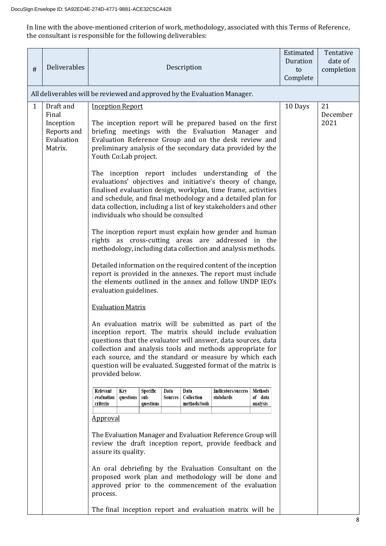In line with the above-mentioned criterion of work, methodology, associated with this Terms of Reference, the consultant is responsible for the following deliverables:

| #            | Deliverables                                                            | Description                                                                                                                                                                                                                                                                                                                                                                                                                                                                                                                                                                                                                                                                                                                                                                                                                                                                                                                                                                                                                                                                                                                                                                                                                                                                                                                                                                                                                                                                           | Estimated<br>Duration<br>to<br>Complete | Tentative<br>date of<br>completion |
|--------------|-------------------------------------------------------------------------|---------------------------------------------------------------------------------------------------------------------------------------------------------------------------------------------------------------------------------------------------------------------------------------------------------------------------------------------------------------------------------------------------------------------------------------------------------------------------------------------------------------------------------------------------------------------------------------------------------------------------------------------------------------------------------------------------------------------------------------------------------------------------------------------------------------------------------------------------------------------------------------------------------------------------------------------------------------------------------------------------------------------------------------------------------------------------------------------------------------------------------------------------------------------------------------------------------------------------------------------------------------------------------------------------------------------------------------------------------------------------------------------------------------------------------------------------------------------------------------|-----------------------------------------|------------------------------------|
|              |                                                                         | All deliverables will be reviewed and approved by the Evaluation Manager.                                                                                                                                                                                                                                                                                                                                                                                                                                                                                                                                                                                                                                                                                                                                                                                                                                                                                                                                                                                                                                                                                                                                                                                                                                                                                                                                                                                                             |                                         |                                    |
| $\mathbf{1}$ | Draft and<br>Final<br>Inception<br>Reports and<br>Evaluation<br>Matrix. | <b>Inception Report</b><br>The inception report will be prepared based on the first<br>briefing meetings with the Evaluation Manager and<br>Evaluation Reference Group and on the desk review and<br>preliminary analysis of the secondary data provided by the<br>Youth Co:Lab project.<br>The inception report includes understanding of the<br>evaluations' objectives and initiative's theory of change,<br>finalised evaluation design, workplan, time frame, activities<br>and schedule, and final methodology and a detailed plan for<br>data collection, including a list of key stakeholders and other<br>individuals who should be consulted<br>The inception report must explain how gender and human<br>rights as cross-cutting areas are addressed in the<br>methodology, including data collection and analysis methods.<br>Detailed information on the required content of the inception<br>report is provided in the annexes. The report must include<br>the elements outlined in the annex and follow UNDP IEO's<br>evaluation guidelines.<br><b>Evaluation Matrix</b><br>An evaluation matrix will be submitted as part of the<br>inception report. The matrix should include evaluation<br>questions that the evaluator will answer, data sources, data<br>collection and analysis tools and methods appropriate for<br>each source, and the standard or measure by which each<br>question will be evaluated. Suggested format of the matrix is<br>provided below. | 10 Days                                 | 21<br>December<br>2021             |
|              |                                                                         | Relevant<br><b>Indicators/success</b><br>Methods<br>Key<br>Specific<br>Data<br>Data<br>questions<br>sub-<br>Collection<br>stabdards<br>evaluation<br>Sources<br>of data<br>criteria<br>methods/tools<br>analysis<br>questions<br><b>Approval</b><br>The Evaluation Manager and Evaluation Reference Group will<br>review the draft inception report, provide feedback and<br>assure its quality.<br>An oral debriefing by the Evaluation Consultant on the<br>proposed work plan and methodology will be done and<br>approved prior to the commencement of the evaluation<br>process.<br>The final inception report and evaluation matrix will be                                                                                                                                                                                                                                                                                                                                                                                                                                                                                                                                                                                                                                                                                                                                                                                                                                     |                                         |                                    |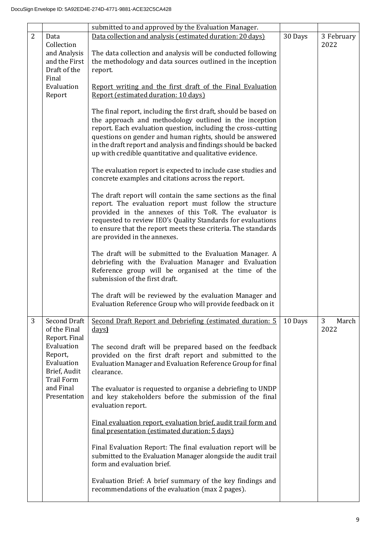|   |                                                                              | submitted to and approved by the Evaluation Manager.                                                                                                                                                                                                                                                                                                                                |         |                    |
|---|------------------------------------------------------------------------------|-------------------------------------------------------------------------------------------------------------------------------------------------------------------------------------------------------------------------------------------------------------------------------------------------------------------------------------------------------------------------------------|---------|--------------------|
| 2 | Data collection and analysis (estimated duration: 20 days)<br>Data           |                                                                                                                                                                                                                                                                                                                                                                                     | 30 Days | 3 February         |
|   | Collection                                                                   |                                                                                                                                                                                                                                                                                                                                                                                     |         | 2022               |
|   | and Analysis<br>The data collection and analysis will be conducted following |                                                                                                                                                                                                                                                                                                                                                                                     |         |                    |
|   |                                                                              | and the First<br>the methodology and data sources outlined in the inception                                                                                                                                                                                                                                                                                                         |         |                    |
|   | Draft of the<br>Final                                                        | report.                                                                                                                                                                                                                                                                                                                                                                             |         |                    |
|   | Evaluation                                                                   | Report writing and the first draft of the Final Evaluation                                                                                                                                                                                                                                                                                                                          |         |                    |
|   | Report                                                                       | Report (estimated duration: 10 days)                                                                                                                                                                                                                                                                                                                                                |         |                    |
|   |                                                                              | The final report, including the first draft, should be based on<br>the approach and methodology outlined in the inception<br>report. Each evaluation question, including the cross-cutting<br>questions on gender and human rights, should be answered<br>in the draft report and analysis and findings should be backed<br>up with credible quantitative and qualitative evidence. |         |                    |
|   |                                                                              | The evaluation report is expected to include case studies and<br>concrete examples and citations across the report.                                                                                                                                                                                                                                                                 |         |                    |
|   |                                                                              | The draft report will contain the same sections as the final<br>report. The evaluation report must follow the structure<br>provided in the annexes of this ToR. The evaluator is<br>requested to review IEO's Quality Standards for evaluations<br>to ensure that the report meets these criteria. The standards<br>are provided in the annexes.                                    |         |                    |
|   |                                                                              | The draft will be submitted to the Evaluation Manager. A<br>debriefing with the Evaluation Manager and Evaluation<br>Reference group will be organised at the time of the<br>submission of the first draft.                                                                                                                                                                         |         |                    |
|   |                                                                              | The draft will be reviewed by the evaluation Manager and<br>Evaluation Reference Group who will provide feedback on it                                                                                                                                                                                                                                                              |         |                    |
| 3 | <b>Second Draft</b><br>of the Final<br>Report. Final                         | Second Draft Report and Debriefing (estimated duration: 5<br>days)                                                                                                                                                                                                                                                                                                                  | 10 Days | 3<br>March<br>2022 |
|   | Evaluation<br>Report,<br>Evaluation<br>Brief, Audit<br><b>Trail Form</b>     | The second draft will be prepared based on the feedback<br>provided on the first draft report and submitted to the<br>Evaluation Manager and Evaluation Reference Group for final<br>clearance.                                                                                                                                                                                     |         |                    |
|   | and Final<br>Presentation                                                    | The evaluator is requested to organise a debriefing to UNDP<br>and key stakeholders before the submission of the final<br>evaluation report.                                                                                                                                                                                                                                        |         |                    |
|   |                                                                              | Final evaluation report, evaluation brief, audit trail form and<br>final presentation (estimated duration: 5 days)                                                                                                                                                                                                                                                                  |         |                    |
|   |                                                                              | Final Evaluation Report: The final evaluation report will be<br>submitted to the Evaluation Manager alongside the audit trail<br>form and evaluation brief.                                                                                                                                                                                                                         |         |                    |
|   |                                                                              | Evaluation Brief: A brief summary of the key findings and<br>recommendations of the evaluation (max 2 pages).                                                                                                                                                                                                                                                                       |         |                    |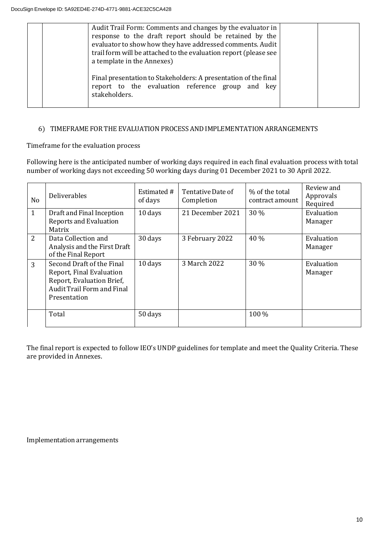| Audit Trail Form: Comments and changes by the evaluator in<br>response to the draft report should be retained by the<br>evaluator to show how they have addressed comments. Audit<br>trail form will be attached to the evaluation report (please see<br>a template in the Annexes) |  |
|-------------------------------------------------------------------------------------------------------------------------------------------------------------------------------------------------------------------------------------------------------------------------------------|--|
| Final presentation to Stakeholders: A presentation of the final<br>report to the evaluation reference group and key<br>stakeholders.                                                                                                                                                |  |

## 6) TIMEFRAME FOR THE EVALUATION PROCESS AND IMPLEMENTATION ARRANGEMENTS

## Timeframe for the evaluation process

Following here is the anticipated number of working days required in each final evaluation process with total number of working days not exceeding 50 working days during 01 December 2021 to 30 April 2022.

| N <sub>o</sub> | Deliverables                                                                                                                            | Estimated #<br>of days | Tentative Date of<br>Completion | % of the total<br>contract amount | Review and<br>Approvals<br>Required |
|----------------|-----------------------------------------------------------------------------------------------------------------------------------------|------------------------|---------------------------------|-----------------------------------|-------------------------------------|
| 1              | Draft and Final Inception<br><b>Reports and Evaluation</b><br>Matrix                                                                    | 10 days                | 21 December 2021                | 30 %                              | Evaluation<br>Manager               |
| 2              | Data Collection and<br>Analysis and the First Draft<br>of the Final Report                                                              | 30 days                | 3 February 2022                 | 40 %                              | Evaluation<br>Manager               |
| 3              | Second Draft of the Final<br>Report, Final Evaluation<br>Report, Evaluation Brief,<br><b>Audit Trail Form and Final</b><br>Presentation | 10 days                | 3 March 2022                    | 30 %                              | Evaluation<br>Manager               |
|                | Total                                                                                                                                   | 50 days                |                                 | 100 %                             |                                     |

The final report is expected to follow IEO's UNDP guidelines for template and meet the Quality Criteria. These are provided in Annexes.

Implementation arrangements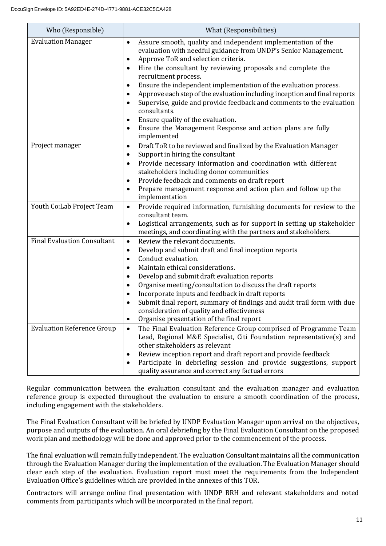| Who (Responsible)                  | What (Responsibilities)                                                                                                                                                                                                                                                                                                                                                                                                                                                                                                                                                                                                                                                     |
|------------------------------------|-----------------------------------------------------------------------------------------------------------------------------------------------------------------------------------------------------------------------------------------------------------------------------------------------------------------------------------------------------------------------------------------------------------------------------------------------------------------------------------------------------------------------------------------------------------------------------------------------------------------------------------------------------------------------------|
| <b>Evaluation Manager</b>          | Assure smooth, quality and independent implementation of the<br>$\bullet$<br>evaluation with needful guidance from UNDP's Senior Management.<br>Approve ToR and selection criteria.<br>$\bullet$<br>Hire the consultant by reviewing proposals and complete the<br>$\bullet$<br>recruitment process.<br>Ensure the independent implementation of the evaluation process.<br>Approve each step of the evaluation including inception and final reports<br>$\bullet$<br>Supervise, guide and provide feedback and comments to the evaluation<br>consultants.<br>Ensure quality of the evaluation.<br>Ensure the Management Response and action plans are fully<br>implemented |
| Project manager                    | Draft ToR to be reviewed and finalized by the Evaluation Manager<br>$\bullet$<br>Support in hiring the consultant<br>$\bullet$<br>Provide necessary information and coordination with different<br>$\bullet$<br>stakeholders including donor communities<br>Provide feedback and comments on draft report<br>$\bullet$<br>Prepare management response and action plan and follow up the<br>$\bullet$<br>implementation                                                                                                                                                                                                                                                      |
| Youth Co:Lab Project Team          | Provide required information, furnishing documents for review to the<br>$\bullet$<br>consultant team.<br>Logistical arrangements, such as for support in setting up stakeholder<br>$\bullet$<br>meetings, and coordinating with the partners and stakeholders.                                                                                                                                                                                                                                                                                                                                                                                                              |
| <b>Final Evaluation Consultant</b> | Review the relevant documents.<br>$\bullet$<br>Develop and submit draft and final inception reports<br>$\bullet$<br>Conduct evaluation.<br>$\bullet$<br>Maintain ethical considerations.<br>Develop and submit draft evaluation reports<br>Organise meeting/consultation to discuss the draft reports<br>Incorporate inputs and feedback in draft reports<br>Submit final report, summary of findings and audit trail form with due<br>consideration of quality and effectiveness<br>Organise presentation of the final report                                                                                                                                              |
| <b>Evaluation Reference Group</b>  | The Final Evaluation Reference Group comprised of Programme Team<br>$\bullet$<br>Lead, Regional M&E Specialist, Citi Foundation representative(s) and<br>other stakeholders as relevant<br>Review inception report and draft report and provide feedback<br>Participate in debriefing session and provide suggestions, support<br>quality assurance and correct any factual errors                                                                                                                                                                                                                                                                                          |

Regular communication between the evaluation consultant and the evaluation manager and evaluation reference group is expected throughout the evaluation to ensure a smooth coordination of the process, including engagement with the stakeholders.

The Final Evaluation Consultant will be briefed by UNDP Evaluation Manager upon arrival on the objectives, purpose and outputs of the evaluation. An oral debriefing by the Final Evaluation Consultant on the proposed work plan and methodology will be done and approved prior to the commencement of the process.

The final evaluation will remain fully independent. The evaluation Consultant maintains all the communication through the Evaluation Manager during the implementation of the evaluation. The Evaluation Manager should clear each step of the evaluation. Evaluation report must meet the requirements from the Independent Evaluation Office's guidelines which are provided in the annexes of this TOR.

Contractors will arrange online final presentation with UNDP BRH and relevant stakeholders and noted comments from participants which will be incorporated in the final report.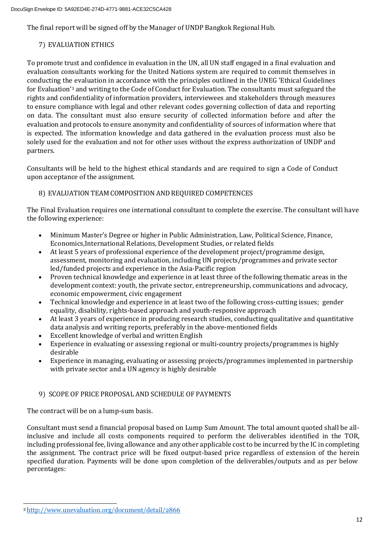The final report will be signed off by the Manager of UNDP Bangkok Regional Hub.

## 7) EVALUATION ETHICS

To promote trust and confidence in evaluation in the UN, all UN staff engaged in a final evaluation and evaluation consultants working for the United Nations system are required to commit themselves in conducting the evaluation in accordance with the principles outlined in the UNEG 'Ethical Guidelines for Evaluation'<sup>3</sup> and writing to the Code of Conduct for Evaluation. The consultants must safeguard the rights and confidentiality of information providers, interviewees and stakeholders through measures to ensure compliance with legal and other relevant codes governing collection of data and reporting on data. The consultant must also ensure security of collected information before and after the evaluation and protocols to ensure anonymity and confidentiality of sources of information where that is expected. The information knowledge and data gathered in the evaluation process must also be solely used for the evaluation and not for other uses without the express authorization of UNDP and partners.

Consultants will be held to the highest ethical standards and are required to sign a Code of Conduct upon acceptance of the assignment.

## 8) EVALUATIONTEAM COMPOSITION AND REQUIRED COMPETENCES

The Final Evaluation requires one international consultant to complete the exercise. The consultant will have the following experience:

- Minimum Master's Degree or higher in Public Administration, Law, Political Science, Finance, Economics,International Relations, Development Studies, or related fields
- At least 5 years of professional experience of the development project/programme design, assessment, monitoring and evaluation, including UN projects/programmes and private sector led/funded projects and experience in the Asia-Pacific region
- Proven technical knowledge and experience in at least three of the following thematic areas in the development context: youth, the private sector, entrepreneurship, communications and advocacy, economic empowerment, civic engagement
- Technical knowledge and experience in at least two of the following cross-cutting issues; gender equality, disability, rights-based approach and youth-responsive approach
- At least 3 years of experience in producing research studies, conducting qualitative and quantitative data analysis and writing reports, preferably in the above-mentioned fields
- Excellent knowledge of verbal and written English
- Experience in evaluating or assessing regional or multi-country projects/programmes is highly desirable
- Experience in managing, evaluating or assessing projects/programmes implemented in partnership with private sector and a UN agency is highly desirable

## 9) SCOPE OF PRICE PROPOSAL AND SCHEDULE OF PAYMENTS

The contract will be on a lump-sum basis.

Consultant must send a financial proposal based on Lump Sum Amount. The total amount quoted shall be allinclusive and include all costs components required to perform the deliverables identified in the TOR, including professional fee, living allowance and any other applicable cost to be incurred by the IC in completing the assignment. The contract price will be fixed output-based price regardless of extension of the herein specified duration. Payments will be done upon completion of the deliverables/outputs and as per below percentages:

<sup>3</sup> <http://www.unevaluation.org/document/detail/2866>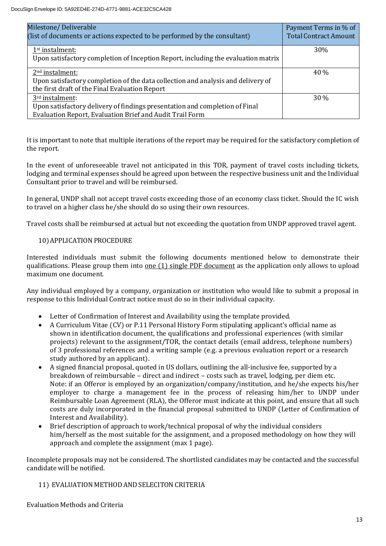| Milestone/Deliverable<br>(list of documents or actions expected to be performed by the consultant) | Payment Terms in % of<br><b>Total Contract Amount</b> |
|----------------------------------------------------------------------------------------------------|-------------------------------------------------------|
| 1 <sup>st</sup> instalment:                                                                        | 30%                                                   |
| Upon satisfactory completion of Inception Report, including the evaluation matrix                  |                                                       |
| 2 <sup>nd</sup> instalment:                                                                        | 40 %                                                  |
| Upon satisfactory completion of the data collection and analysis and delivery of                   |                                                       |
| the first draft of the Final Evaluation Report                                                     |                                                       |
| 3rd instalment:                                                                                    | 30 %                                                  |
| Upon satisfactory delivery of findings presentation and completion of Final                        |                                                       |
| Evaluation Report, Evaluation Brief and Audit Trail Form                                           |                                                       |

It is important to note that multiple iterations of the report may be required for the satisfactory completion of the report.

In the event of unforeseeable travel not anticipated in this TOR, payment of travel costs including tickets, lodging and terminal expenses should be agreed upon between the respective business unit and the Individual Consultant prior to travel and will be reimbursed.

In general, UNDP shall not accept travel costs exceeding those of an economy class ticket. Should the IC wish to travel on a higher class he/she should do so using their own resources.

Travel costs shall be reimbursed at actual but not exceeding the quotation from UNDP approved travel agent.

## 10) APPLICATION PROCEDURE

Interested individuals must submit the following documents mentioned below to demonstrate their qualifications. Please group them into <u>one  $(1)$  single PDF document</u> as the application only allows to upload maximum one document.

Any individual employed by a company, organization or institution who would like to submit a proposal in response to this Individual Contract notice must do so in their individual capacity.

- Letter of Confirmation of Interest and Availability using the template provided.
- A Curriculum Vitae (CV) or P.11 Personal History Form stipulating applicant's official name as shown in identification document, the qualifications and professional experiences (with similar projects) relevant to the assignment/TOR, the contact details (email address, telephone numbers) of 3 professional references and a writing sample (e.g. a previous evaluation report or a research study authored by an applicant).
- A signed financial proposal, quoted in US dollars, outlining the all-inclusive fee, supported by a breakdown of reimbursable – direct and indirect – costs such as travel, lodging, per diem etc. Note: if an Offeror is employed by an organization/company/institution, and he/she expects his/her employer to charge a management fee in the process of releasing him/her to UNDP under Reimbursable Loan Agreement (RLA), the Offeror must indicate at this point, and ensure that all such costs are duly incorporated in the financial proposal submitted to UNDP (Letter of Confirmation of Interest and Availability).
- Brief description of approach to work/technical proposal of why the individual considers him/herself as the most suitable for the assignment, and a proposed methodology on how they will approach and complete the assignment (max 1 page).

Incomplete proposals may not be considered. The shortlisted candidates may be contacted and the successful candidate will be notified.

## 11) EVALUATION METHOD ANDSELECITON CRITERIA

Evaluation Methods and Criteria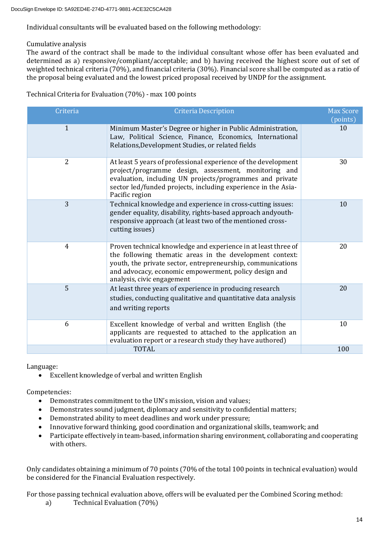Individual consultants will be evaluated based on the following methodology:

## Cumulative analysis

The award of the contract shall be made to the individual consultant whose offer has been evaluated and determined as a) responsive/compliant/acceptable; and b) having received the highest score out of set of weighted technical criteria (70%), and financial criteria (30%). Financial score shall be computed as a ratio of the proposal being evaluated and the lowest priced proposal received by UNDP for the assignment.

Technical Criteria for Evaluation (70%) - max 100 points

| Criteria       | <b>Criteria Description</b>                                                                                                                                                                                                                                                      | <b>Max Score</b><br>(points) |
|----------------|----------------------------------------------------------------------------------------------------------------------------------------------------------------------------------------------------------------------------------------------------------------------------------|------------------------------|
| $\mathbf{1}$   | Minimum Master's Degree or higher in Public Administration,<br>Law, Political Science, Finance, Economics, International<br>Relations, Development Studies, or related fields                                                                                                    | 10                           |
| 2              | At least 5 years of professional experience of the development<br>project/programme design, assessment, monitoring and<br>evaluation, including UN projects/programmes and private<br>sector led/funded projects, including experience in the Asia-<br>Pacific region            | 30                           |
| $\overline{3}$ | Technical knowledge and experience in cross-cutting issues:<br>gender equality, disability, rights-based approach andyouth-<br>responsive approach (at least two of the mentioned cross-<br>cutting issues)                                                                      | 10                           |
| 4              | Proven technical knowledge and experience in at least three of<br>the following thematic areas in the development context:<br>youth, the private sector, entrepreneurship, communications<br>and advocacy, economic empowerment, policy design and<br>analysis, civic engagement | 20                           |
| 5              | At least three years of experience in producing research<br>studies, conducting qualitative and quantitative data analysis<br>and writing reports                                                                                                                                | 20                           |
| 6              | Excellent knowledge of verbal and written English (the<br>applicants are requested to attached to the application an<br>evaluation report or a research study they have authored)                                                                                                | 10                           |
|                | <b>TOTAL</b>                                                                                                                                                                                                                                                                     | 100                          |

Language:

• Excellent knowledge of verbal and written English

Competencies:

- Demonstrates commitment to the UN's mission, vision and values;
- Demonstrates sound judgment, diplomacy and sensitivity to confidential matters;
- Demonstrated ability to meet deadlines and work under pressure;
- Innovative forward thinking, good coordination and organizational skills, teamwork; and
- Participate effectively in team-based, information sharing environment, collaborating and cooperating with others.

Only candidates obtaining a minimum of 70 points (70% of the total 100 points in technical evaluation) would be considered for the Financial Evaluation respectively.

For those passing technical evaluation above, offers will be evaluated per the Combined Scoring method:

a) Technical Evaluation (70%)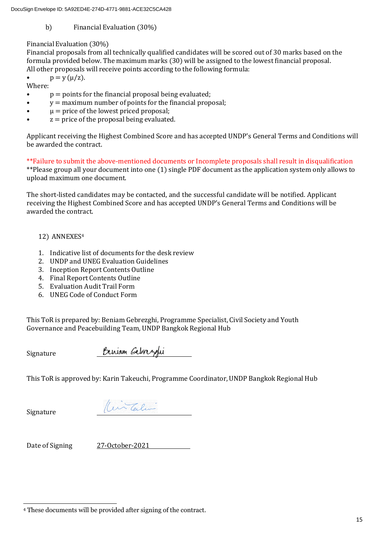b) Financial Evaluation (30%)

## Financial Evaluation (30%)

Financial proposals from all technically qualified candidates will be scored out of 30 marks based on the formula provided below. The maximum marks (30) will be assigned to the lowest financial proposal. All other proposals will receive points according to the following formula:

•  $p = y (\mu/z)$ .

Where:

- $p =$  points for the financial proposal being evaluated;
- $\bullet$   $y =$  maximum number of points for the financial proposal;
- $\mu$  = price of the lowest priced proposal;
- $z =$  price of the proposal being evaluated.

Applicant receiving the Highest Combined Score and has accepted UNDP's General Terms and Conditions will be awarded the contract.

\*\*Failure to submit the above-mentioned documents or Incomplete proposals shall result in disqualification \*\*Please group all your document into one (1) single PDF document as the application system only allows to upload maximum one document.

The short-listed candidates may be contacted, and the successful candidate will be notified. Applicant receiving the Highest Combined Score and has accepted UNDP's General Terms and Conditions will be awarded the contract.

## 12) ANNEXES<sup>4</sup>

- 1. Indicative list of documents for the desk review
- 2. UNDP and UNEG Evaluation Guidelines
- 3. Inception Report Contents Outline
- 4. Final Report Contents Outline
- 5. Evaluation Audit Trail Form
- 6. UNEG Code of Conduct Form

This ToR is prepared by: Beniam Gebrezghi, Programme Specialist, Civil Society and Youth Governance and Peacebuilding Team, UNDP Bangkok Regional Hub

Signature

Beriam Gebrezali

This ToR is approved by: Karin Takeuchi, Programme Coordinator, UNDP Bangkok Regional Hub

Signature

(Civitalin

Date of Signing 27-October-2021

<sup>4</sup> These documents will be provided after signing of the contract.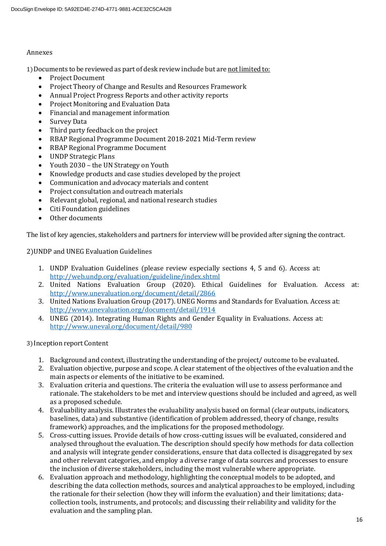#### Annexes

1)Documents to be reviewed as part of desk review include but are not limited to:

- Project Document
- Project Theory of Change and Results and Resources Framework
- Annual Project Progress Reports and other activity reports
- Project Monitoring and Evaluation Data
- Financial and management information
- Survey Data
- Third party feedback on the project
- RBAP Regional Programme Document 2018-2021 Mid-Term review
- RBAP Regional Programme Document
- UNDP Strategic Plans
- Youth 2030 the UN Strategy on Youth
- Knowledge products and case studies developed by the project
- Communication and advocacy materials and content
- Project consultation and outreach materials
- Relevant global, regional, and national research studies
- Citi Foundation guidelines
- Other documents

The list of key agencies, stakeholders and partners for interview will be provided after signing the contract.

#### 2)UNDP and UNEG Evaluation Guidelines

- 1. UNDP Evaluation Guidelines (please review especially sections 4, 5 and 6). Access at: <http://web.undp.org/evaluation/guideline/index.shtml>
- 2. United Nations Evaluation Group (2020). Ethical Guidelines for Evaluation. Access at: <http://www.unevaluation.org/document/detail/2866>
- 3. United Nations Evaluation Group (2017). UNEG Norms and Standards for Evaluation. Access at: <http://www.unevaluation.org/document/detail/1914>
- 4. UNEG (2014). Integrating Human Rights and Gender Equality in Evaluations. Access at: <http://www.uneval.org/document/detail/980>

#### 3) Inception report Content

- 1. Background and context, illustrating the understanding of the project/ outcome to be evaluated.
- 2. Evaluation objective, purpose and scope. A clear statement of the objectives ofthe evaluation and the main aspects or elements of the initiative to be examined.
- 3. Evaluation criteria and questions. The criteria the evaluation will use to assess performance and rationale. The stakeholders to be met and interview questions should be included and agreed, as well as a proposed schedule.
- 4. Evaluability analysis. Illustrates the evaluability analysis based on formal (clear outputs, indicators, baselines, data) and substantive (identification of problem addressed, theory of change, results framework) approaches, and the implications for the proposed methodology.
- 5. Cross-cutting issues. Provide details of how cross-cutting issues will be evaluated, considered and analysed throughout the evaluation. The description should specify how methods for data collection and analysis will integrate gender considerations, ensure that data collected is disaggregated by sex and other relevant categories, and employ a diverse range of data sources and processes to ensure the inclusion of diverse stakeholders, including the most vulnerable where appropriate.
- 6. Evaluation approach and methodology, highlighting the conceptual models to be adopted, and describing the data collection methods, sources and analytical approaches to be employed, including the rationale for their selection (how they will inform the evaluation) and their limitations; datacollection tools, instruments, and protocols; and discussing their reliability and validity for the evaluation and the sampling plan.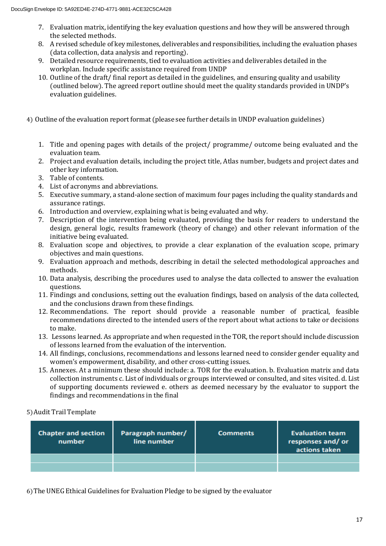- 7. Evaluation matrix, identifying the key evaluation questions and how they will be answered through the selected methods.
- 8. A revised schedule of key milestones, deliverables and responsibilities, including the evaluation phases (data collection, data analysis and reporting).
- 9. Detailed resource requirements, tied to evaluation activities and deliverables detailed in the workplan. Include specific assistance required from UNDP
- 10. Outline of the draft/ final report as detailed in the guidelines, and ensuring quality and usability (outlined below). The agreed report outline should meet the quality standards provided in UNDP's evaluation guidelines.
- 4) Outline of the evaluation report format (please see further details inUNDP evaluation guidelines)
	- 1. Title and opening pages with details of the project/ programme/ outcome being evaluated and the evaluation team.
	- 2. Project and evaluation details, including the project title, Atlas number, budgets and project dates and other key information.
	- 3. Table of contents.
	- 4. List of acronyms and abbreviations.
	- 5. Executive summary, a stand-alone section of maximum four pages including the quality standards and assurance ratings.
	- 6. Introduction and overview, explaining what is being evaluated and why.
	- 7. Description of the intervention being evaluated, providing the basis for readers to understand the design, general logic, results framework (theory of change) and other relevant information of the initiative being evaluated.
	- 8. Evaluation scope and objectives, to provide a clear explanation of the evaluation scope, primary objectives and main questions.
	- 9. Evaluation approach and methods, describing in detail the selected methodological approaches and methods.
	- 10. Data analysis, describing the procedures used to analyse the data collected to answer the evaluation questions.
	- 11. Findings and conclusions, setting out the evaluation findings, based on analysis of the data collected, and the conclusions drawn from these findings.
	- 12. Recommendations. The report should provide a reasonable number of practical, feasible recommendations directed to the intended users of the report about what actions to take or decisions to make.
	- 13. Lessons learned. As appropriate and when requested in the TOR, the report should include discussion of lessons learned from the evaluation of the intervention.
	- 14. All findings, conclusions, recommendations and lessons learned need to consider gender equality and women's empowerment, disability, and other cross-cutting issues.
	- 15. Annexes. At a minimum these should include: a. TOR for the evaluation. b. Evaluation matrix and data collection instruments c. List of individuals or groups interviewed or consulted, and sites visited. d. List of supporting documents reviewed e. others as deemed necessary by the evaluator to support the findings and recommendations in the final

5)Audit Trail Template

| <b>Chapter and section</b><br>number | Paragraph number/<br>line number | <b>Comments</b> | <b>Evaluation team</b><br>responses and/or<br>actions taken |
|--------------------------------------|----------------------------------|-----------------|-------------------------------------------------------------|
|                                      |                                  |                 |                                                             |
|                                      |                                  |                 |                                                             |

6)The UNEG Ethical Guidelines for Evaluation Pledge to be signed by the evaluator